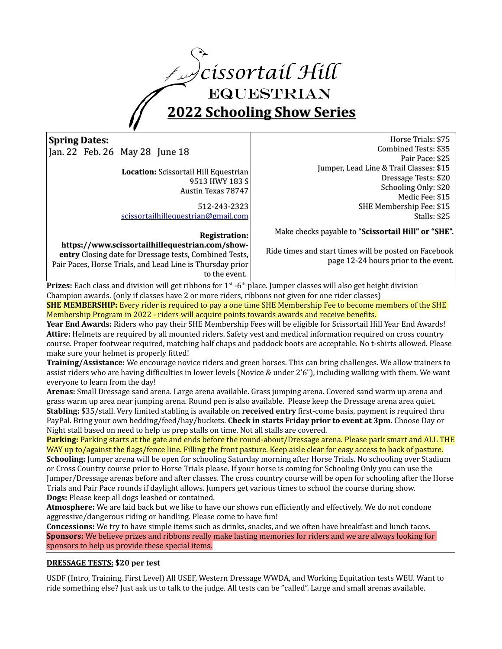

# **Spring Dates:**

Jan. 22 Feb. 26 May 28 June 18

**Location:** Scissortail Hill Equestrian 9513 HWY 183 S Austin Texas 78747

512-243-2323 [scissortailhillequestrian@gmail.com](mailto:scissortailhillequestrian@gmail.com)

#### **Registration:**

**https://www.scissortailhillequestrian.com/showentry** Closing date for Dressage tests, Combined Tests, Pair Paces, Horse Trials, and Lead Line is Thursday prior to the event.

 Horse Trials: \$75 Combined Tests: \$35 Pair Pace: \$25 Jumper, Lead Line & Trail Classes: \$15 Dressage Tests: \$20 Schooling Only: \$20 Medic Fee: \$15

SHE Membership Fee: \$15

Stalls: \$25

Make checks payable to "**Scissortail Hill" or "SHE".**

Ride times and start times will be posted on Facebook page 12-24 hours prior to the event.

**Prizes:** Each class and division will get ribbons for 1<sup>st</sup> -6<sup>th</sup> place. Jumper classes will also get height division Champion awards. (only if classes have 2 or more riders, ribbons not given for one rider classes)

**SHE MEMBERSHIP:** Every rider is required to pay a one time SHE Membership Fee to become members of the SHE Membership Program in 2022 - riders will acquire points towards awards and receive benefits.

**Year End Awards:** Riders who pay their SHE Membership Fees will be eligible for Scissortail Hill Year End Awards! **Attire:** Helmets are required by all mounted riders. Safety vest and medical information required on cross country course. Proper footwear required, matching half chaps and paddock boots are acceptable. No t-shirts allowed. Please make sure your helmet is properly fitted!

**Training/Assistance:** We encourage novice riders and green horses. This can bring challenges. We allow trainers to assist riders who are having difficulties in lower levels (Novice & under 2'6"), including walking with them. We want everyone to learn from the day!

**Arenas:** Small Dressage sand arena. Large arena available. Grass jumping arena. Covered sand warm up arena and grass warm up area near jumping arena. Round pen is also available. Please keep the Dressage arena area quiet. **Stabling:** \$35/stall. Very limited stabling is available on **received entry** first-come basis, payment is required thru PayPal. Bring your own bedding/feed/hay/buckets. **Check in starts Friday prior to event at 3pm.** Choose Day or Night stall based on need to help us prep stalls on time. Not all stalls are covered.

**Parking:** Parking starts at the gate and ends before the round-about/Dressage arena. Please park smart and ALL THE WAY up to/against the flags/fence line. Filling the front pasture. Keep aisle clear for easy access to back of pasture. **Schooling:** Jumper arena will be open for schooling Saturday morning after Horse Trials. No schooling over Stadium or Cross Country course prior to Horse Trials please. If your horse is coming for Schooling Only you can use the Jumper/Dressage arenas before and after classes. The cross country course will be open for schooling after the Horse Trials and Pair Pace rounds if daylight allows. Jumpers get various times to school the course during show. **Dogs:** Please keep all dogs leashed or contained.

**Atmosphere:** We are laid back but we like to have our shows run efficiently and effectively. We do not condone aggressive/dangerous riding or handling. Please come to have fun!

**Concessions:** We try to have simple items such as drinks, snacks, and we often have breakfast and lunch tacos. **Sponsors:** We believe prizes and ribbons really make lasting memories for riders and we are always looking for sponsors to help us provide these special items.

# **DRESSAGE TESTS: \$20 per test**

USDF (Intro, Training, First Level) All USEF, Western Dressage WWDA, and Working Equitation tests WEU. Want to ride something else? Just ask us to talk to the judge. All tests can be "called". Large and small arenas available.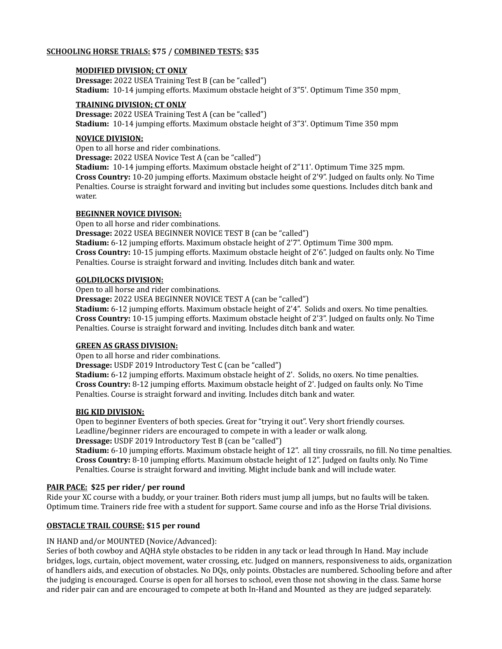### **SCHOOLING HORSE TRIALS: \$75 / COMBINED TESTS: \$35**

#### **MODIFIED DIVISION; CT ONLY**

**Dressage:** 2022 USEA Training Test B (can be "called") **Stadium:** 10-14 jumping efforts. Maximum obstacle height of 3"5'. Optimum Time 350 mpm

#### **TRAINING DIVISION; CT ONLY**

**Dressage:** 2022 USEA Training Test A (can be "called") **Stadium:** 10-14 jumping efforts. Maximum obstacle height of 3"3'. Optimum Time 350 mpm

#### **NOVICE DIVISION:**

Open to all horse and rider combinations.

**Dressage:** 2022 USEA Novice Test A (can be "called")

**Stadium:** 10-14 jumping efforts. Maximum obstacle height of 2"11'. Optimum Time 325 mpm. **Cross Country:** 10-20 jumping efforts. Maximum obstacle height of 2'9". Judged on faults only. No Time Penalties. Course is straight forward and inviting but includes some questions. Includes ditch bank and water.

#### **BEGINNER NOVICE DIVISON:**

Open to all horse and rider combinations.

**Dressage:** 2022 USEA BEGINNER NOVICE TEST B (can be "called")

**Stadium:** 6-12 jumping efforts. Maximum obstacle height of 2'7". Optimum Time 300 mpm. **Cross Country:** 10-15 jumping efforts. Maximum obstacle height of 2'6". Judged on faults only. No Time Penalties. Course is straight forward and inviting. Includes ditch bank and water.

#### **GOLDILOCKS DIVISION:**

Open to all horse and rider combinations.

**Dressage:** 2022 USEA BEGINNER NOVICE TEST A (can be "called")

**Stadium:** 6-12 jumping efforts. Maximum obstacle height of 2'4". Solids and oxers. No time penalties. **Cross Country:** 10-15 jumping efforts. Maximum obstacle height of 2'3". Judged on faults only. No Time Penalties. Course is straight forward and inviting. Includes ditch bank and water.

#### **GREEN AS GRASS DIVISION:**

Open to all horse and rider combinations.

**Dressage:** USDF 2019 Introductory Test C (can be "called")

**Stadium:** 6-12 jumping efforts. Maximum obstacle height of 2'. Solids, no oxers. No time penalties. **Cross Country:** 8-12 jumping efforts. Maximum obstacle height of 2'. Judged on faults only. No Time Penalties. Course is straight forward and inviting. Includes ditch bank and water.

#### **BIG KID DIVISION:**

Open to beginner Eventers of both species. Great for "trying it out". Very short friendly courses. Leadline/beginner riders are encouraged to compete in with a leader or walk along. **Dressage:** USDF 2019 Introductory Test B (can be "called")

**Stadium:** 6-10 jumping efforts. Maximum obstacle height of 12". all tiny crossrails, no fill. No time penalties. **Cross Country:** 8-10 jumping efforts. Maximum obstacle height of 12". Judged on faults only. No Time Penalties. Course is straight forward and inviting. Might include bank and will include water.

#### **PAIR PACE: \$25 per rider/ per round**

Ride your XC course with a buddy, or your trainer. Both riders must jump all jumps, but no faults will be taken. Optimum time. Trainers ride free with a student for support. Same course and info as the Horse Trial divisions.

#### **OBSTACLE TRAIL COURSE: \$15 per round**

#### IN HAND and/or MOUNTED (Novice/Advanced):

Series of both cowboy and AQHA style obstacles to be ridden in any tack or lead through In Hand. May include bridges, logs, curtain, object movement, water crossing, etc. Judged on manners, responsiveness to aids, organization of handlers aids, and execution of obstacles. No DQs, only points. Obstacles are numbered. Schooling before and after the judging is encouraged. Course is open for all horses to school, even those not showing in the class. Same horse and rider pair can and are encouraged to compete at both In-Hand and Mounted as they are judged separately.